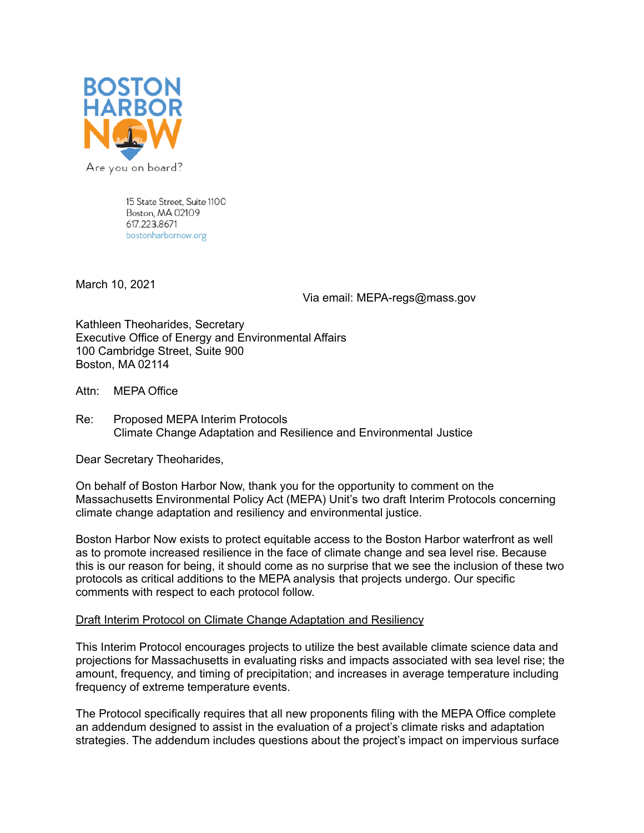

15 State Street, Suite 1100 Boston, MA 02109 617.223.8671 bostonharbornow.org

March 10, 2021

Via email: MEPA-regs@mass.gov

Kathleen Theoharides, Secretary Executive Office of Energy and Environmental Affairs 100 Cambridge Street, Suite 900 Boston, MA 02114

Attn: MEPA Office

Re: Proposed MEPA Interim Protocols Climate Change Adaptation and Resilience and Environmental Justice

Dear Secretary Theoharides,

On behalf of Boston Harbor Now, thank you for the opportunity to comment on the Massachusetts Environmental Policy Act (MEPA) Unit's two draft Interim Protocols concerning climate change adaptation and resiliency and environmental justice.

Boston Harbor Now exists to protect equitable access to the Boston Harbor waterfront as well as to promote increased resilience in the face of climate change and sea level rise. Because this is our reason for being, it should come as no surprise that we see the inclusion of these two protocols as critical additions to the MEPA analysis that projects undergo. Our specific comments with respect to each protocol follow.

## Draft Interim Protocol on Climate Change Adaptation and Resiliency

This Interim Protocol encourages projects to utilize the best available climate science data and projections for Massachusetts in evaluating risks and impacts associated with sea level rise; the amount, frequency, and timing of precipitation; and increases in average temperature including frequency of extreme temperature events.

The Protocol specifically requires that all new proponents filing with the MEPA Office complete an addendum designed to assist in the evaluation of a project's climate risks and adaptation strategies. The addendum includes questions about the project's impact on impervious surface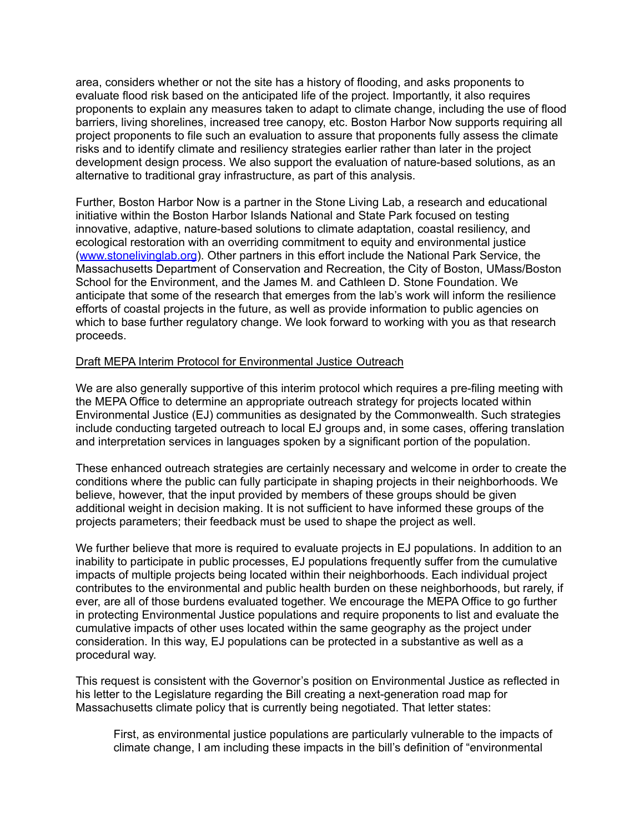area, considers whether or not the site has a history of flooding, and asks proponents to evaluate flood risk based on the anticipated life of the project. Importantly, it also requires proponents to explain any measures taken to adapt to climate change, including the use of flood barriers, living shorelines, increased tree canopy, etc. Boston Harbor Now supports requiring all project proponents to file such an evaluation to assure that proponents fully assess the climate risks and to identify climate and resiliency strategies earlier rather than later in the project development design process. We also support the evaluation of nature-based solutions, as an alternative to traditional gray infrastructure, as part of this analysis.

Further, Boston Harbor Now is a partner in the Stone Living Lab, a research and educational initiative within the Boston Harbor Islands National and State Park focused on testing innovative, adaptive, nature-based solutions to climate adaptation, coastal resiliency, and ecological restoration with an overriding commitment to equity and environmental justice (www.stonelivinglab.org). Other partners in this effort include the National Park Service, the Massachusetts Department of Conservation and Recreation, the City of Boston, UMass/Boston School for the Environment, and the James M. and Cathleen D. Stone Foundation. We anticipate that some of the research that emerges from the lab's work will inform the resilience efforts of coastal projects in the future, as well as provide information to public agencies on which to base further regulatory change. We look forward to working with you as that research proceeds.

## Draft MEPA Interim Protocol for Environmental Justice Outreach

We are also generally supportive of this interim protocol which requires a pre-filing meeting with the MEPA Office to determine an appropriate outreach strategy for projects located within Environmental Justice (EJ) communities as designated by the Commonwealth. Such strategies include conducting targeted outreach to local EJ groups and, in some cases, offering translation and interpretation services in languages spoken by a significant portion of the population.

These enhanced outreach strategies are certainly necessary and welcome in order to create the conditions where the public can fully participate in shaping projects in their neighborhoods. We believe, however, that the input provided by members of these groups should be given additional weight in decision making. It is not sufficient to have informed these groups of the projects parameters; their feedback must be used to shape the project as well.

We further believe that more is required to evaluate projects in EJ populations. In addition to an inability to participate in public processes, EJ populations frequently suffer from the cumulative impacts of multiple projects being located within their neighborhoods. Each individual project contributes to the environmental and public health burden on these neighborhoods, but rarely, if ever, are all of those burdens evaluated together. We encourage the MEPA Office to go further in protecting Environmental Justice populations and require proponents to list and evaluate the cumulative impacts of other uses located within the same geography as the project under consideration. In this way, EJ populations can be protected in a substantive as well as a procedural way.

This request is consistent with the Governor's position on Environmental Justice as reflected in his letter to the Legislature regarding the Bill creating a next-generation road map for Massachusetts climate policy that is currently being negotiated. That letter states:

First, as environmental justice populations are particularly vulnerable to the impacts of climate change, I am including these impacts in the bill's definition of "environmental